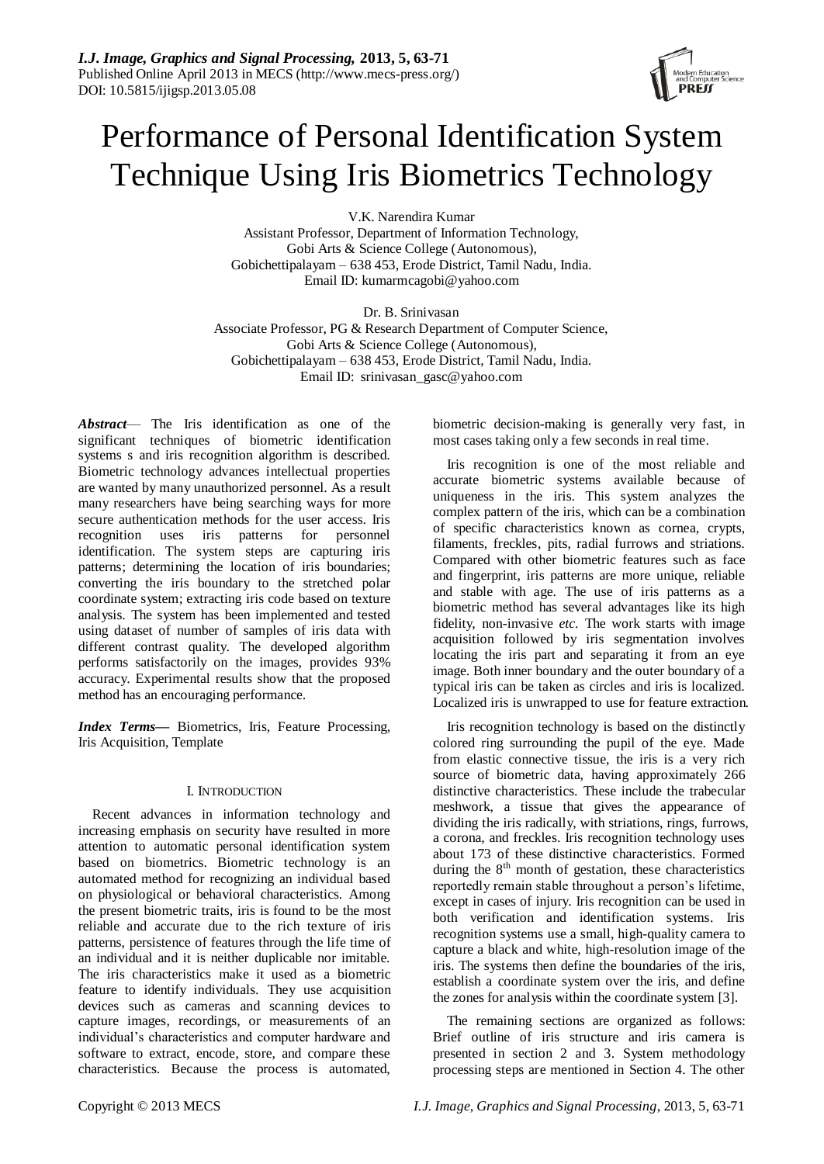# Performance of Personal Identification System Technique Using Iris Biometrics Technology

V.K. Narendira Kumar Assistant Professor, Department of Information Technology, Gobi Arts & Science College (Autonomous), Gobichettipalayam – 638 453, Erode District, Tamil Nadu, India. Email ID: kumarmcagobi@yahoo.com

Dr. B. Srinivasan Associate Professor, PG & Research Department of Computer Science, Gobi Arts & Science College (Autonomous), Gobichettipalayam – 638 453, Erode District, Tamil Nadu, India. Email ID: srinivasan\_gasc@yahoo.com

*Abstract*— The Iris identification as one of the significant techniques of biometric identification systems s and iris recognition algorithm is described. Biometric technology advances intellectual properties are wanted by many unauthorized personnel. As a result many researchers have being searching ways for more secure authentication methods for the user access. Iris recognition uses iris patterns for personnel identification. The system steps are capturing iris patterns; determining the location of iris boundaries; converting the iris boundary to the stretched polar coordinate system; extracting iris code based on texture analysis. The system has been implemented and tested using dataset of number of samples of iris data with different contrast quality. The developed algorithm performs satisfactorily on the images, provides 93% accuracy. Experimental results show that the proposed method has an encouraging performance.

*Index Terms***—** Biometrics, Iris, Feature Processing, Iris Acquisition, Template

# I. INTRODUCTION

Recent advances in information technology and increasing emphasis on security have resulted in more attention to automatic personal identification system based on biometrics. Biometric technology is an automated method for recognizing an individual based on physiological or behavioral characteristics. Among the present biometric traits, iris is found to be the most reliable and accurate due to the rich texture of iris patterns, persistence of features through the life time of an individual and it is neither duplicable nor imitable. The iris characteristics make it used as a biometric feature to identify individuals. They use acquisition devices such as cameras and scanning devices to capture images, recordings, or measurements of an individual's characteristics and computer hardware and software to extract, encode, store, and compare these characteristics. Because the process is automated,

biometric decision-making is generally very fast, in most cases taking only a few seconds in real time.

Iris recognition is one of the most reliable and accurate biometric systems available because of uniqueness in the iris. This system analyzes the complex pattern of the iris, which can be a combination of specific characteristics known as cornea, crypts, filaments, freckles, pits, radial furrows and striations. Compared with other biometric features such as face and fingerprint, iris patterns are more unique, reliable and stable with age. The use of iris patterns as a biometric method has several advantages like its high fidelity, non-invasive *etc*. The work starts with image acquisition followed by iris segmentation involves locating the iris part and separating it from an eye image. Both inner boundary and the outer boundary of a typical iris can be taken as circles and iris is localized. Localized iris is unwrapped to use for feature extraction.

Iris recognition technology is based on the distinctly colored ring surrounding the pupil of the eye. Made from elastic connective tissue, the iris is a very rich source of biometric data, having approximately 266 distinctive characteristics. These include the trabecular meshwork, a tissue that gives the appearance of dividing the iris radically, with striations, rings, furrows, a corona, and freckles. Iris recognition technology uses about 173 of these distinctive characteristics. Formed during the  $8<sup>th</sup>$  month of gestation, these characteristics reportedly remain stable throughout a person's lifetime, except in cases of injury. Iris recognition can be used in both verification and identification systems. Iris recognition systems use a small, high-quality camera to capture a black and white, high-resolution image of the iris. The systems then define the boundaries of the iris, establish a coordinate system over the iris, and define the zones for analysis within the coordinate system [3].

The remaining sections are organized as follows: Brief outline of iris structure and iris camera is presented in section 2 and 3. System methodology processing steps are mentioned in Section 4. The other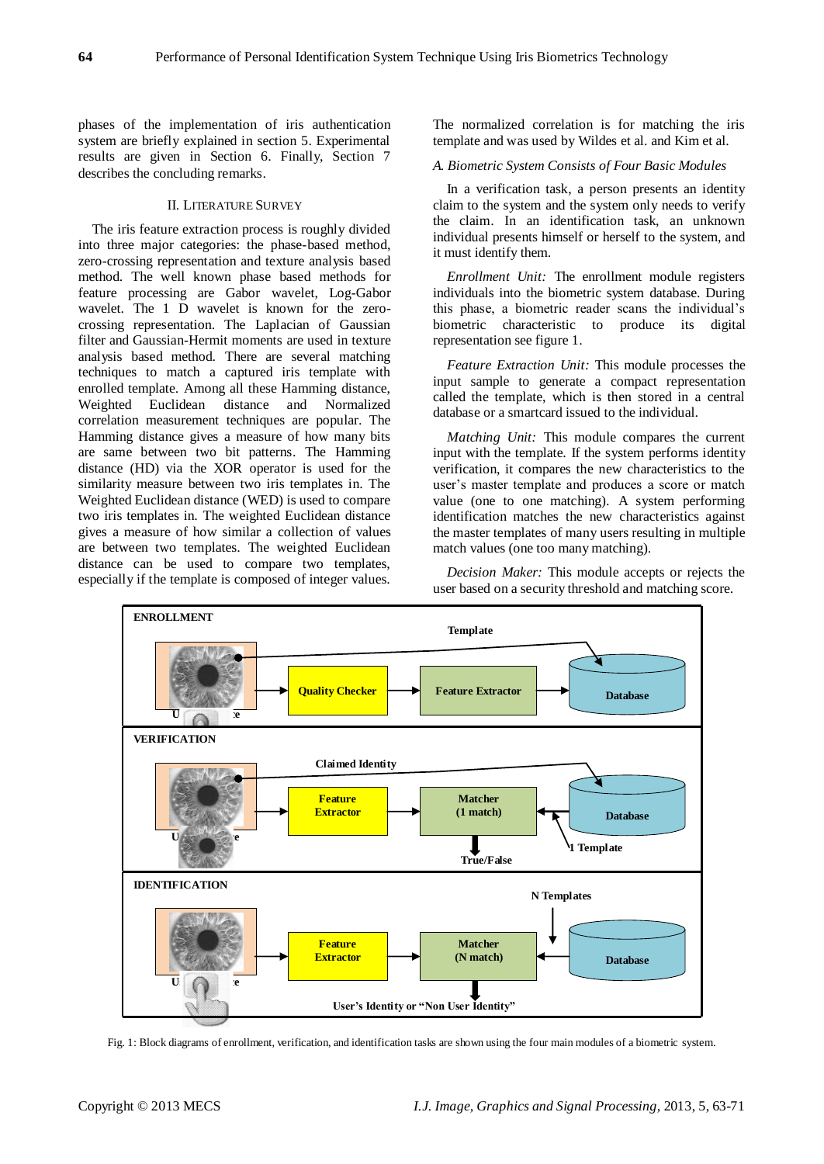phases of the implementation of iris authentication system are briefly explained in section 5. Experimental results are given in Section 6. Finally, Section 7 describes the concluding remarks.

# II. LITERATURE SURVEY

The iris feature extraction process is roughly divided into three major categories: the phase-based method, zero-crossing representation and texture analysis based method. The well known phase based methods for feature processing are Gabor wavelet, Log-Gabor wavelet. The 1 D wavelet is known for the zerocrossing representation. The Laplacian of Gaussian filter and Gaussian-Hermit moments are used in texture analysis based method. There are several matching techniques to match a captured iris template with enrolled template. Among all these Hamming distance, Weighted Euclidean distance and Normalized correlation measurement techniques are popular. The Hamming distance gives a measure of how many bits are same between two bit patterns. The Hamming distance (HD) via the XOR operator is used for the similarity measure between two iris templates in. The Weighted Euclidean distance (WED) is used to compare two iris templates in. The weighted Euclidean distance gives a measure of how similar a collection of values are between two templates. The weighted Euclidean distance can be used to compare two templates, especially if the template is composed of integer values.

The normalized correlation is for matching the iris template and was used by Wildes et al. and Kim et al.

### *A. Biometric System Consists of Four Basic Modules*

In a verification task, a person presents an identity claim to the system and the system only needs to verify the claim. In an identification task, an unknown individual presents himself or herself to the system, and it must identify them.

*Enrollment Unit:* The enrollment module registers individuals into the biometric system database. During this phase, a biometric reader scans the individual's biometric characteristic to produce its digital representation see figure 1.

*Feature Extraction Unit:* This module processes the input sample to generate a compact representation called the template, which is then stored in a central database or a smartcard issued to the individual.

*Matching Unit:* This module compares the current input with the template. If the system performs identity verification, it compares the new characteristics to the user's master template and produces a score or match value (one to one matching). A system performing identification matches the new characteristics against the master templates of many users resulting in multiple match values (one too many matching).

*Decision Maker:* This module accepts or rejects the user based on a security threshold and matching score.



Fig. 1: Block diagrams of enrollment, verification, and identification tasks are shown using the four main modules of a biometric system.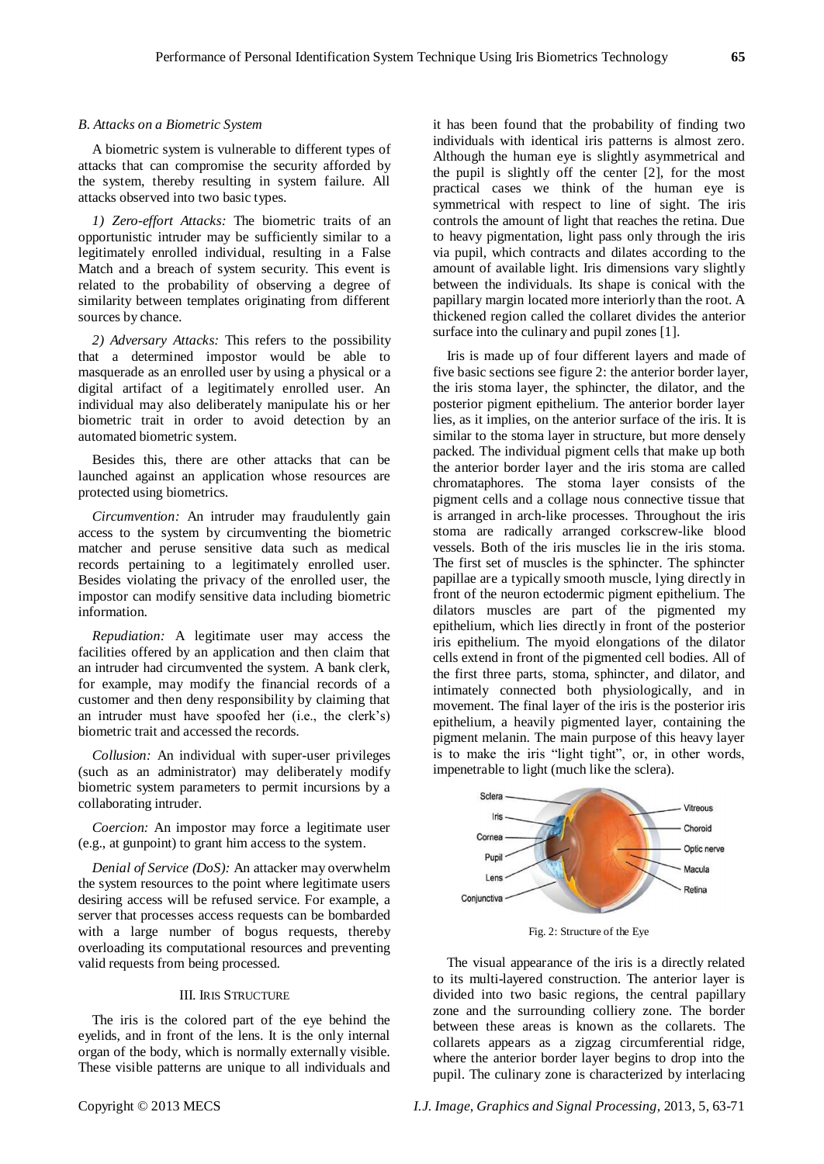#### *B. Attacks on a Biometric System*

A biometric system is vulnerable to different types of attacks that can compromise the security afforded by the system, thereby resulting in system failure. All attacks observed into two basic types.

*1) Zero-effort Attacks:* The biometric traits of an opportunistic intruder may be sufficiently similar to a legitimately enrolled individual, resulting in a False Match and a breach of system security. This event is related to the probability of observing a degree of similarity between templates originating from different sources by chance.

*2) Adversary Attacks:* This refers to the possibility that a determined impostor would be able to masquerade as an enrolled user by using a physical or a digital artifact of a legitimately enrolled user. An individual may also deliberately manipulate his or her biometric trait in order to avoid detection by an automated biometric system.

Besides this, there are other attacks that can be launched against an application whose resources are protected using biometrics.

*Circumvention:* An intruder may fraudulently gain access to the system by circumventing the biometric matcher and peruse sensitive data such as medical records pertaining to a legitimately enrolled user. Besides violating the privacy of the enrolled user, the impostor can modify sensitive data including biometric information.

*Repudiation:* A legitimate user may access the facilities offered by an application and then claim that an intruder had circumvented the system. A bank clerk, for example, may modify the financial records of a customer and then deny responsibility by claiming that an intruder must have spoofed her (i.e., the clerk's) biometric trait and accessed the records.

*Collusion:* An individual with super-user privileges (such as an administrator) may deliberately modify biometric system parameters to permit incursions by a collaborating intruder.

*Coercion:* An impostor may force a legitimate user (e.g., at gunpoint) to grant him access to the system.

*Denial of Service (DoS):* An attacker may overwhelm the system resources to the point where legitimate users desiring access will be refused service. For example, a server that processes access requests can be bombarded with a large number of bogus requests, thereby overloading its computational resources and preventing valid requests from being processed.

#### III. IRIS STRUCTURE

The iris is the colored part of the eye behind the eyelids, and in front of the lens. It is the only internal organ of the body, which is normally externally visible. These visible patterns are unique to all individuals and

it has been found that the probability of finding two individuals with identical iris patterns is almost zero. Although the human eye is slightly asymmetrical and the pupil is slightly off the center [2], for the most practical cases we think of the human eye is symmetrical with respect to line of sight. The iris controls the amount of light that reaches the retina. Due to heavy pigmentation, light pass only through the iris via pupil, which contracts and dilates according to the amount of available light. Iris dimensions vary slightly between the individuals. Its shape is conical with the papillary margin located more interiorly than the root. A thickened region called the collaret divides the anterior surface into the culinary and pupil zones [1].

Iris is made up of four different layers and made of five basic sections see figure 2: the anterior border layer, the iris stoma layer, the sphincter, the dilator, and the posterior pigment epithelium. The anterior border layer lies, as it implies, on the anterior surface of the iris. It is similar to the stoma layer in structure, but more densely packed. The individual pigment cells that make up both the anterior border layer and the iris stoma are called chromataphores. The stoma layer consists of the pigment cells and a collage nous connective tissue that is arranged in arch-like processes. Throughout the iris stoma are radically arranged corkscrew-like blood vessels. Both of the iris muscles lie in the iris stoma. The first set of muscles is the sphincter. The sphincter papillae are a typically smooth muscle, lying directly in front of the neuron ectodermic pigment epithelium. The dilators muscles are part of the pigmented my epithelium, which lies directly in front of the posterior iris epithelium. The myoid elongations of the dilator cells extend in front of the pigmented cell bodies. All of the first three parts, stoma, sphincter, and dilator, and intimately connected both physiologically, and in movement. The final layer of the iris is the posterior iris epithelium, a heavily pigmented layer, containing the pigment melanin. The main purpose of this heavy layer is to make the iris "light tight", or, in other words, impenetrable to light (much like the sclera).



Fig. 2: Structure of the Eye

The visual appearance of the iris is a directly related to its multi-layered construction. The anterior layer is divided into two basic regions, the central papillary zone and the surrounding colliery zone. The border between these areas is known as the collarets. The collarets appears as a zigzag circumferential ridge, where the anterior border layer begins to drop into the pupil. The culinary zone is characterized by interlacing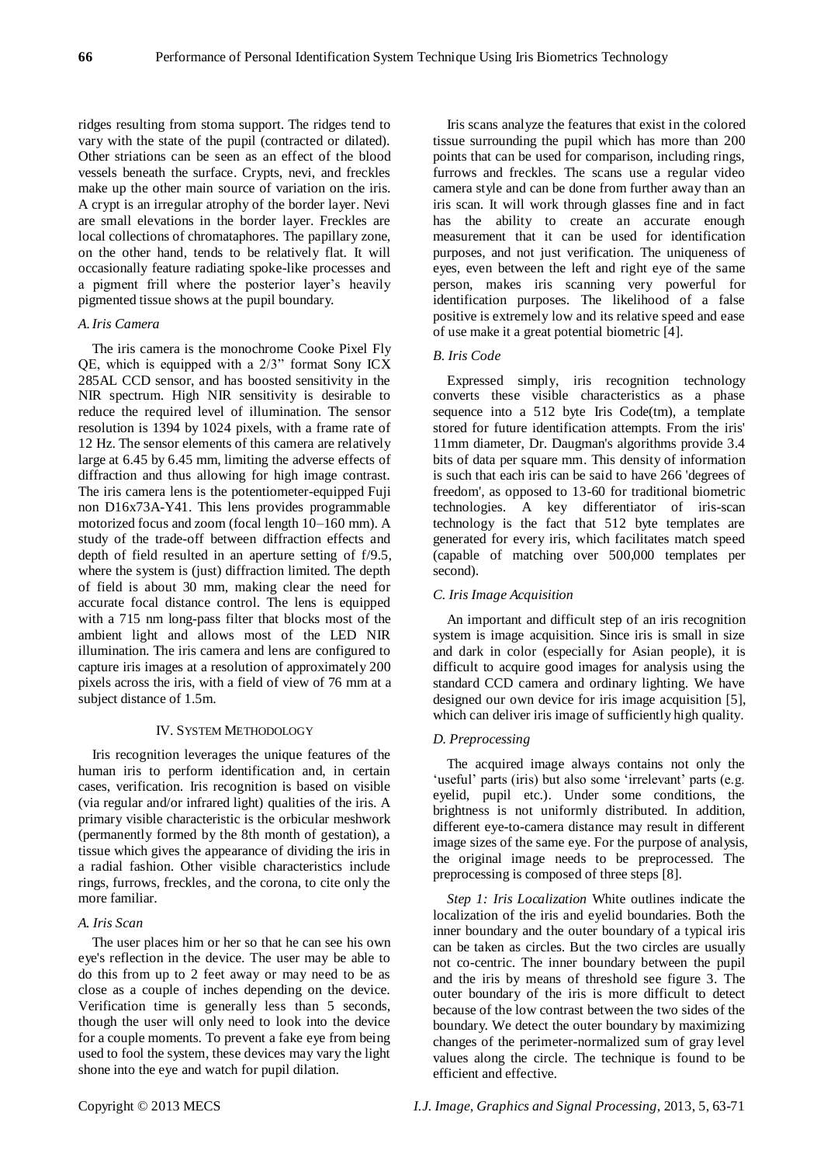ridges resulting from stoma support. The ridges tend to vary with the state of the pupil (contracted or dilated). Other striations can be seen as an effect of the blood vessels beneath the surface. Crypts, nevi, and freckles make up the other main source of variation on the iris. A crypt is an irregular atrophy of the border layer. Nevi are small elevations in the border layer. Freckles are local collections of chromataphores. The papillary zone, on the other hand, tends to be relatively flat. It will occasionally feature radiating spoke-like processes and a pigment frill where the posterior layer's heavily pigmented tissue shows at the pupil boundary.

# *A*. *Iris Camera*

The iris camera is the monochrome Cooke Pixel Fly QE, which is equipped with a  $2/3$ " format Sony ICX 285AL CCD sensor, and has boosted sensitivity in the NIR spectrum. High NIR sensitivity is desirable to reduce the required level of illumination. The sensor resolution is 1394 by 1024 pixels, with a frame rate of 12 Hz. The sensor elements of this camera are relatively large at 6.45 by 6.45 mm, limiting the adverse effects of diffraction and thus allowing for high image contrast. The iris camera lens is the potentiometer-equipped Fuji non D16x73A-Y41. This lens provides programmable motorized focus and zoom (focal length 10–160 mm). A study of the trade-off between diffraction effects and depth of field resulted in an aperture setting of f/9.5, where the system is (just) diffraction limited. The depth of field is about 30 mm, making clear the need for accurate focal distance control. The lens is equipped with a 715 nm long-pass filter that blocks most of the ambient light and allows most of the LED NIR illumination. The iris camera and lens are configured to capture iris images at a resolution of approximately 200 pixels across the iris, with a field of view of 76 mm at a subject distance of 1.5m.

# IV. SYSTEM METHODOLOGY

Iris recognition leverages the unique features of the human iris to perform identification and, in certain cases, verification. Iris recognition is based on visible (via regular and/or infrared light) qualities of the iris. A primary visible characteristic is the orbicular meshwork (permanently formed by the 8th month of gestation), a tissue which gives the appearance of dividing the iris in a radial fashion. Other visible characteristics include rings, furrows, freckles, and the corona, to cite only the more familiar.

# *A. Iris Scan*

The user places him or her so that he can see his own eye's reflection in the device. The user may be able to do this from up to 2 feet away or may need to be as close as a couple of inches depending on the device. Verification time is generally less than 5 seconds, though the user will only need to look into the device for a couple moments. To prevent a fake eye from being used to fool the system, these devices may vary the light shone into the eye and watch for pupil dilation.

Iris scans analyze the features that exist in the colored tissue surrounding the pupil which has more than 200 points that can be used for comparison, including rings, furrows and freckles. The scans use a regular video camera style and can be done from further away than an iris scan. It will work through glasses fine and in fact has the ability to create an accurate enough measurement that it can be used for identification purposes, and not just verification. The uniqueness of eyes, even between the left and right eye of the same person, makes iris scanning very powerful for identification purposes. The likelihood of a false positive is extremely low and its relative speed and ease of use make it a great potential biometric [4].

# *B. Iris Code*

Expressed simply, iris recognition technology converts these visible characteristics as a phase sequence into a 512 byte Iris Code(tm), a template stored for future identification attempts. From the iris' 11mm diameter, Dr. Daugman's algorithms provide 3.4 bits of data per square mm. This density of information is such that each iris can be said to have 266 'degrees of freedom', as opposed to 13-60 for traditional biometric technologies. A key differentiator of iris-scan technology is the fact that 512 byte templates are generated for every iris, which facilitates match speed (capable of matching over 500,000 templates per second).

# *C. Iris Image Acquisition*

An important and difficult step of an iris recognition system is image acquisition. Since iris is small in size and dark in color (especially for Asian people), it is difficult to acquire good images for analysis using the standard CCD camera and ordinary lighting. We have designed our own device for iris image acquisition [5], which can deliver iris image of sufficiently high quality.

# *D. Preprocessing*

The acquired image always contains not only the 'useful' parts (iris) but also some 'irrelevant' parts (e.g. eyelid, pupil etc.). Under some conditions, the brightness is not uniformly distributed. In addition, different eye-to-camera distance may result in different image sizes of the same eye. For the purpose of analysis, the original image needs to be preprocessed. The preprocessing is composed of three steps [8].

*Step 1: Iris Localization* White outlines indicate the localization of the iris and eyelid boundaries. Both the inner boundary and the outer boundary of a typical iris can be taken as circles. But the two circles are usually not co-centric. The inner boundary between the pupil and the iris by means of threshold see figure 3. The outer boundary of the iris is more difficult to detect because of the low contrast between the two sides of the boundary. We detect the outer boundary by maximizing changes of the perimeter-normalized sum of gray level values along the circle. The technique is found to be efficient and effective.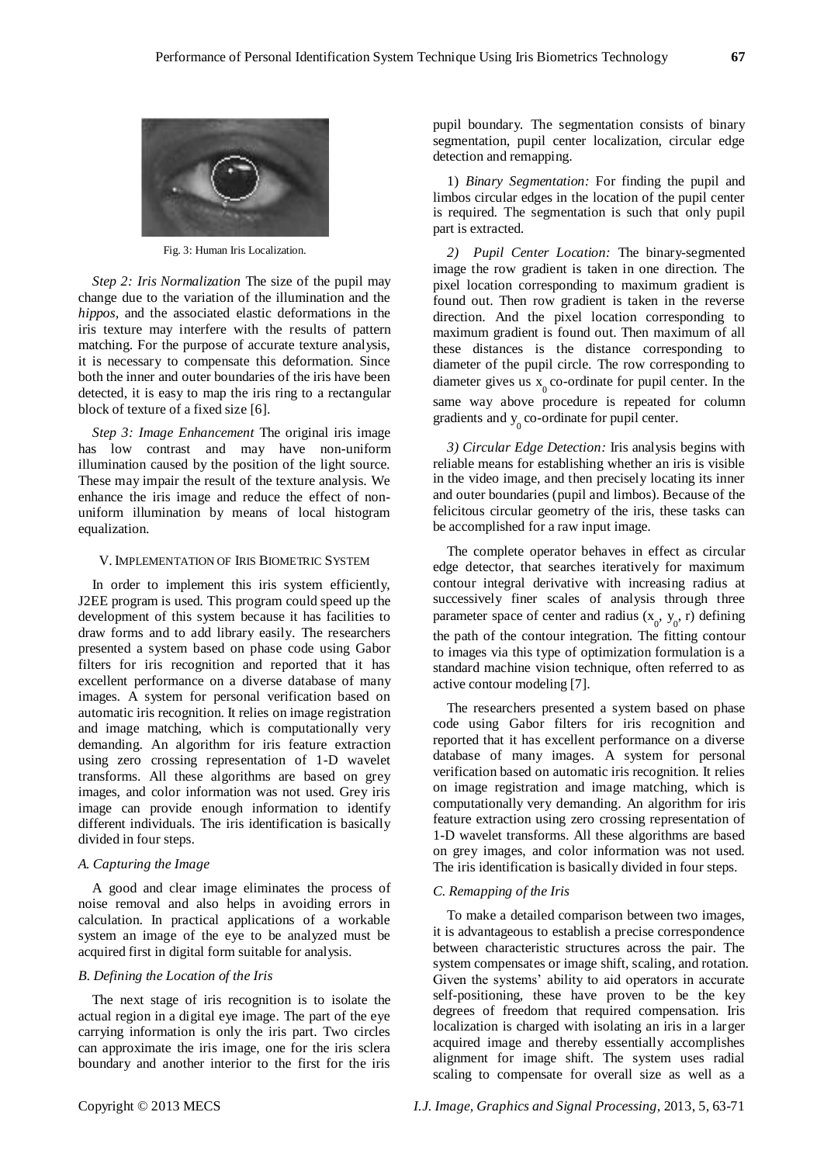

Fig. 3: Human Iris Localization.

*Step 2: Iris Normalization* The size of the pupil may change due to the variation of the illumination and the *hippos,* and the associated elastic deformations in the iris texture may interfere with the results of pattern matching. For the purpose of accurate texture analysis, it is necessary to compensate this deformation. Since both the inner and outer boundaries of the iris have been detected, it is easy to map the iris ring to a rectangular block of texture of a fixed size [6].

*Step 3: Image Enhancement* The original iris image has low contrast and may have non-uniform illumination caused by the position of the light source. These may impair the result of the texture analysis. We enhance the iris image and reduce the effect of nonuniform illumination by means of local histogram equalization.

## V. IMPLEMENTATION OF IRIS BIOMETRIC SYSTEM

In order to implement this iris system efficiently, J2EE program is used. This program could speed up the development of this system because it has facilities to draw forms and to add library easily. The researchers presented a system based on phase code using Gabor filters for iris recognition and reported that it has excellent performance on a diverse database of many images. A system for personal verification based on automatic iris recognition. It relies on image registration and image matching, which is computationally very demanding. An algorithm for iris feature extraction using zero crossing representation of 1-D wavelet transforms. All these algorithms are based on grey images, and color information was not used. Grey iris image can provide enough information to identify different individuals. The iris identification is basically divided in four steps.

#### *A. Capturing the Image*

A good and clear image eliminates the process of noise removal and also helps in avoiding errors in calculation. In practical applications of a workable system an image of the eye to be analyzed must be acquired first in digital form suitable for analysis.

## *B. Defining the Location of the Iris*

The next stage of iris recognition is to isolate the actual region in a digital eye image. The part of the eye carrying information is only the iris part. Two circles can approximate the iris image, one for the iris sclera boundary and another interior to the first for the iris

pupil boundary. The segmentation consists of binary segmentation, pupil center localization, circular edge detection and remapping.

1) *Binary Segmentation:* For finding the pupil and limbos circular edges in the location of the pupil center is required. The segmentation is such that only pupil part is extracted.

*2) Pupil Center Location:* The binary-segmented image the row gradient is taken in one direction. The pixel location corresponding to maximum gradient is found out. Then row gradient is taken in the reverse direction. And the pixel location corresponding to maximum gradient is found out. Then maximum of all these distances is the distance corresponding to diameter of the pupil circle. The row corresponding to diameter gives us  $x_0$  co-ordinate for pupil center. In the same way above procedure is repeated for column gradients and  $y_0$  co-ordinate for pupil center.

*3) Circular Edge Detection:* Iris analysis begins with reliable means for establishing whether an iris is visible in the video image, and then precisely locating its inner and outer boundaries (pupil and limbos). Because of the felicitous circular geometry of the iris, these tasks can be accomplished for a raw input image.

The complete operator behaves in effect as circular edge detector, that searches iteratively for maximum contour integral derivative with increasing radius at successively finer scales of analysis through three parameter space of center and radius  $(x_0, y_0, r)$  defining the path of the contour integration. The fitting contour to images via this type of optimization formulation is a standard machine vision technique, often referred to as active contour modeling [7].

The researchers presented a system based on phase code using Gabor filters for iris recognition and reported that it has excellent performance on a diverse database of many images. A system for personal verification based on automatic iris recognition. It relies on image registration and image matching, which is computationally very demanding. An algorithm for iris feature extraction using zero crossing representation of 1-D wavelet transforms. All these algorithms are based on grey images, and color information was not used. The iris identification is basically divided in four steps.

#### *C. Remapping of the Iris*

To make a detailed comparison between two images, it is advantageous to establish a precise correspondence between characteristic structures across the pair. The system compensates or image shift, scaling, and rotation. Given the systems' ability to aid operators in accurate self-positioning, these have proven to be the key degrees of freedom that required compensation. Iris localization is charged with isolating an iris in a larger acquired image and thereby essentially accomplishes alignment for image shift. The system uses radial scaling to compensate for overall size as well as a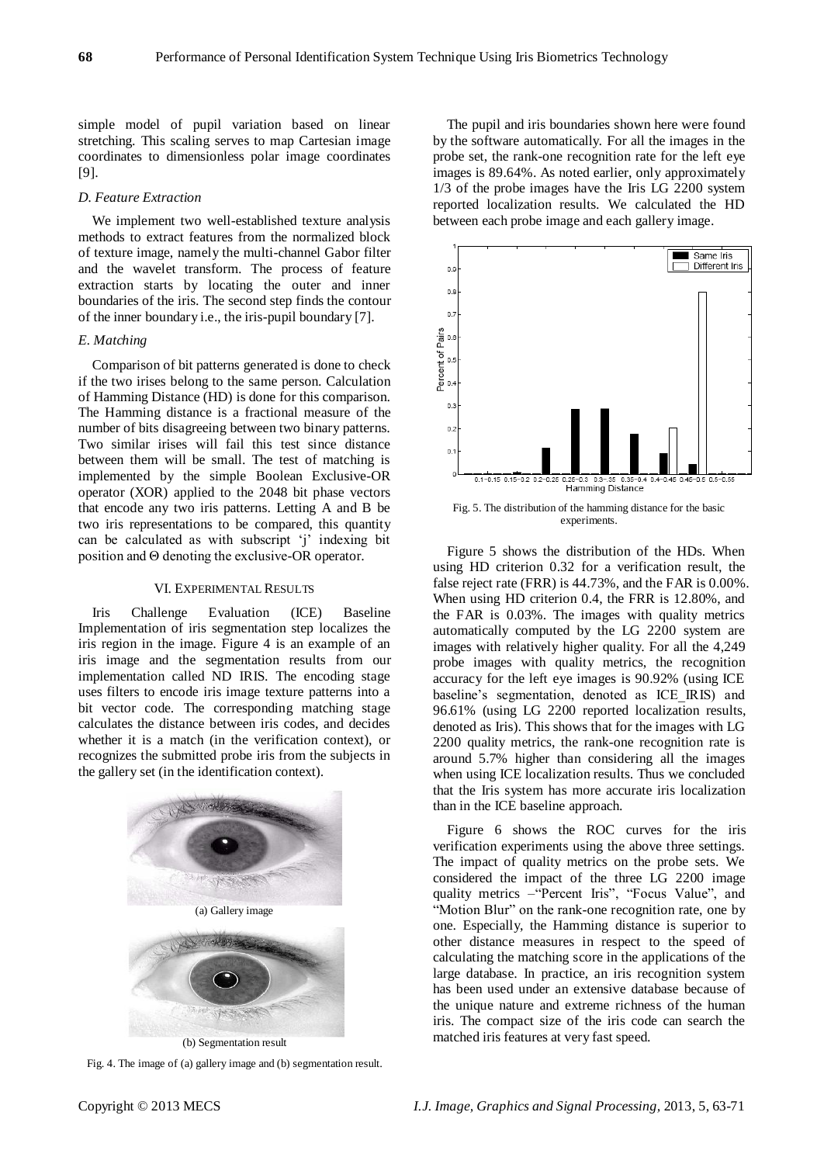simple model of pupil variation based on linear stretching. This scaling serves to map Cartesian image coordinates to dimensionless polar image coordinates [9].

### *D. Feature Extraction*

We implement two well-established texture analysis methods to extract features from the normalized block of texture image, namely the multi-channel Gabor filter and the wavelet transform. The process of feature extraction starts by locating the outer and inner boundaries of the iris. The second step finds the contour of the inner boundary i.e., the iris-pupil boundary [7].

## *E. Matching*

Comparison of bit patterns generated is done to check if the two irises belong to the same person. Calculation of Hamming Distance (HD) is done for this comparison. The Hamming distance is a fractional measure of the number of bits disagreeing between two binary patterns. Two similar irises will fail this test since distance between them will be small. The test of matching is implemented by the simple Boolean Exclusive-OR operator (XOR) applied to the 2048 bit phase vectors that encode any two iris patterns. Letting A and B be two iris representations to be compared, this quantity can be calculated as with subscript 'j' indexing bit position and Θ denoting the exclusive-OR operator.

#### VI. EXPERIMENTAL RESULTS

Iris Challenge Evaluation (ICE) Baseline Implementation of iris segmentation step localizes the iris region in the image. Figure 4 is an example of an iris image and the segmentation results from our implementation called ND IRIS. The encoding stage uses filters to encode iris image texture patterns into a bit vector code. The corresponding matching stage calculates the distance between iris codes, and decides whether it is a match (in the verification context), or recognizes the submitted probe iris from the subjects in the gallery set (in the identification context).



Fig. 4. The image of (a) gallery image and (b) segmentation result.

The pupil and iris boundaries shown here were found by the software automatically. For all the images in the probe set, the rank-one recognition rate for the left eye images is 89.64%. As noted earlier, only approximately 1/3 of the probe images have the Iris LG 2200 system reported localization results. We calculated the HD between each probe image and each gallery image.



Fig. 5. The distribution of the hamming distance for the basic experiments.

Figure 5 shows the distribution of the HDs. When using HD criterion 0.32 for a verification result, the false reject rate (FRR) is 44.73%, and the FAR is 0.00%. When using HD criterion 0.4, the FRR is 12.80%, and the FAR is 0.03%. The images with quality metrics automatically computed by the LG 2200 system are images with relatively higher quality. For all the 4,249 probe images with quality metrics, the recognition accuracy for the left eye images is 90.92% (using ICE baseline's segmentation, denoted as ICE\_IRIS) and 96.61% (using LG 2200 reported localization results, denoted as Iris). This shows that for the images with LG 2200 quality metrics, the rank-one recognition rate is around 5.7% higher than considering all the images when using ICE localization results. Thus we concluded that the Iris system has more accurate iris localization than in the ICE baseline approach.

Figure 6 shows the ROC curves for the iris verification experiments using the above three settings. The impact of quality metrics on the probe sets. We considered the impact of the three LG 2200 image quality metrics -"Percent Iris", "Focus Value", and "Motion Blur" on the rank-one recognition rate, one by one. Especially, the Hamming distance is superior to other distance measures in respect to the speed of calculating the matching score in the applications of the large database. In practice, an iris recognition system has been used under an extensive database because of the unique nature and extreme richness of the human iris. The compact size of the iris code can search the matched iris features at very fast speed.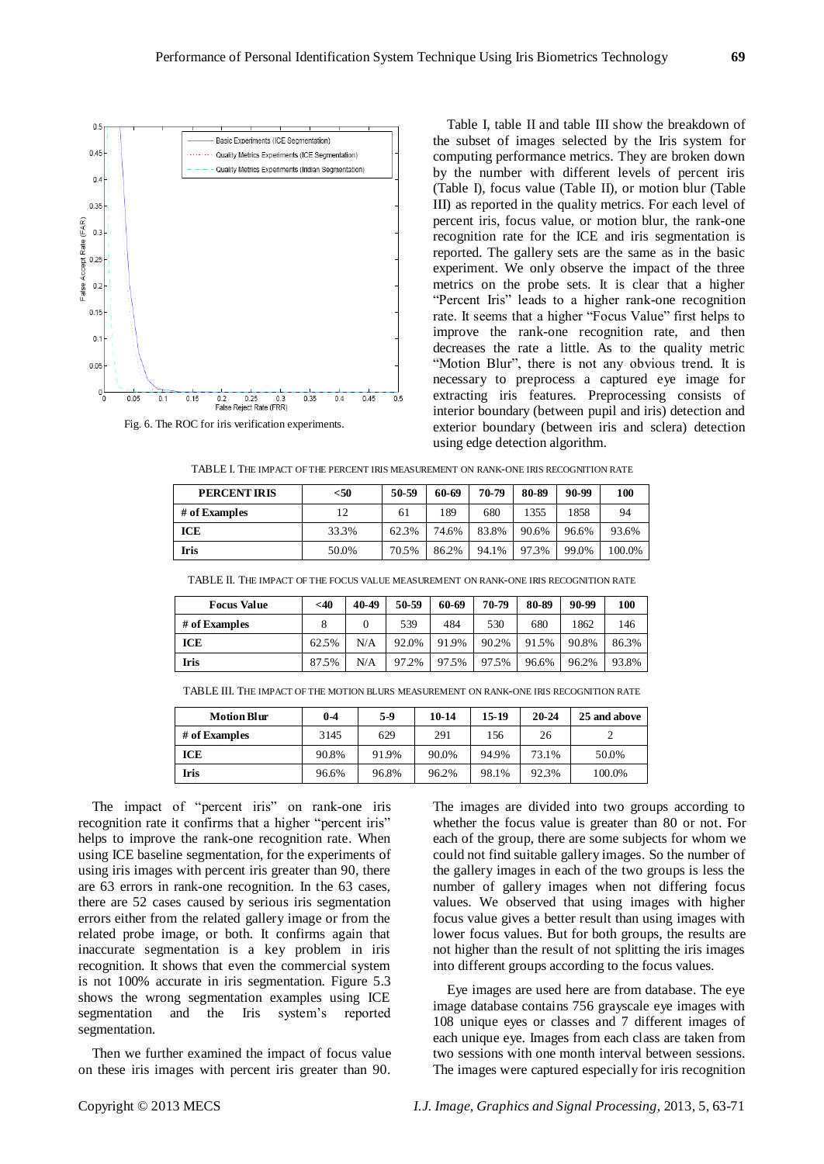

Fig. 6. The ROC for iris verification experiments.

Table I, table II and table III show the breakdown of the subset of images selected by the Iris system for computing performance metrics. They are broken down by the number with different levels of percent iris (Table I), focus value (Table II), or motion blur (Table III) as reported in the quality metrics. For each level of percent iris, focus value, or motion blur, the rank-one recognition rate for the ICE and iris segmentation is reported. The gallery sets are the same as in the basic experiment. We only observe the impact of the three metrics on the probe sets. It is clear that a higher "Percent Iris" leads to a higher rank-one recognition rate. It seems that a higher "Focus Value" first helps to improve the rank-one recognition rate, and then decreases the rate a little. As to the quality metric "Motion Blur", there is not any obvious trend. It is necessary to preprocess a captured eye image for extracting iris features. Preprocessing consists of interior boundary (between pupil and iris) detection and exterior boundary (between iris and sclera) detection using edge detection algorithm.

TABLE I. THE IMPACT OF THE PERCENT IRIS MEASUREMENT ON RANK-ONE IRIS RECOGNITION RATE

| <b>PERCENT IRIS</b> | $<$ 50 | 50-59 | 60-69 | 70-79 | 80-89 | 90-99 | 100    |
|---------------------|--------|-------|-------|-------|-------|-------|--------|
| # of Examples       | 12     | 61    | 189   | 680   | 1355  | 1858  | 94     |
| ICE                 | 33.3%  | 62.3% | 74.6% | 83.8% | 90.6% | 96.6% | 93.6%  |
| Iris                | 50.0%  | 70.5% | 86.2% | 94.1% | 97.3% | 99.0% | 100.0% |

| # of Examples | 12    | 61    | 189   | 680   | 1355  | 1858  | 94     |
|---------------|-------|-------|-------|-------|-------|-------|--------|
| <b>ICE</b>    | 33.3% | 62.3% | 74.6% | 83.8% | 90.6% | 96.6% | 93.6%  |
| <b>Iris</b>   | 50.0% | 70.5% | 86.2% | 94.1% | 97.3% | 99.0% | 100.0% |
|               |       |       |       |       |       |       |        |

TABLE II. THE IMPACT OF THE FOCUS VALUE MEASUREMENT ON RANK-ONE IRIS RECOGNITION RATE

| <b>Focus Value</b> | $<$ 40 | 40-49    | 50-59 | 60-69 | 70-79 | 80-89 | 90-99 | 100   |
|--------------------|--------|----------|-------|-------|-------|-------|-------|-------|
| # of Examples      |        | $\Omega$ | 539   | 484   | 530   | 680   | 1862  | 146   |
| <b>ICE</b>         | 62.5%  | N/A      | 92.0% | 91.9% | 90.2% | 91.5% | 90.8% | 86.3% |
| <b>Iris</b>        | 87.5%  | N/A      | 97.2% | 97.5% | 97.5% | 96.6% | 96.2% | 93.8% |

TABLE III. THE IMPACT OF THE MOTION BLURS MEASUREMENT ON RANK-ONE IRIS RECOGNITION RATE

| <b>Motion Blur</b> | $0 - 4$ | 5-9   | 10-14 | $15-19$ | $20 - 24$ | 25 and above |
|--------------------|---------|-------|-------|---------|-----------|--------------|
| # of Examples      | 3145    | 629   | 291   | 156     | 26        |              |
| ICE                | 90.8%   | 91.9% | 90.0% | 94.9%   | 73.1%     | 50.0%        |
| Iris               | 96.6%   | 96.8% | 96.2% | 98.1%   | 92.3%     | 100.0%       |

The impact of "percent iris" on rank-one iris recognition rate it confirms that a higher "percent iris" helps to improve the rank-one recognition rate. When using ICE baseline segmentation, for the experiments of using iris images with percent iris greater than 90, there are 63 errors in rank-one recognition. In the 63 cases, there are 52 cases caused by serious iris segmentation errors either from the related gallery image or from the related probe image, or both. It confirms again that inaccurate segmentation is a key problem in iris recognition. It shows that even the commercial system is not 100% accurate in iris segmentation. Figure 5.3 shows the wrong segmentation examples using ICE segmentation and the Iris system's reported segmentation.

Then we further examined the impact of focus value on these iris images with percent iris greater than 90. The images are divided into two groups according to whether the focus value is greater than 80 or not. For each of the group, there are some subjects for whom we could not find suitable gallery images. So the number of the gallery images in each of the two groups is less the number of gallery images when not differing focus values. We observed that using images with higher focus value gives a better result than using images with lower focus values. But for both groups, the results are not higher than the result of not splitting the iris images into different groups according to the focus values.

Eye images are used here are from database. The eye image database contains 756 grayscale eye images with 108 unique eyes or classes and 7 different images of each unique eye. Images from each class are taken from two sessions with one month interval between sessions. The images were captured especially for iris recognition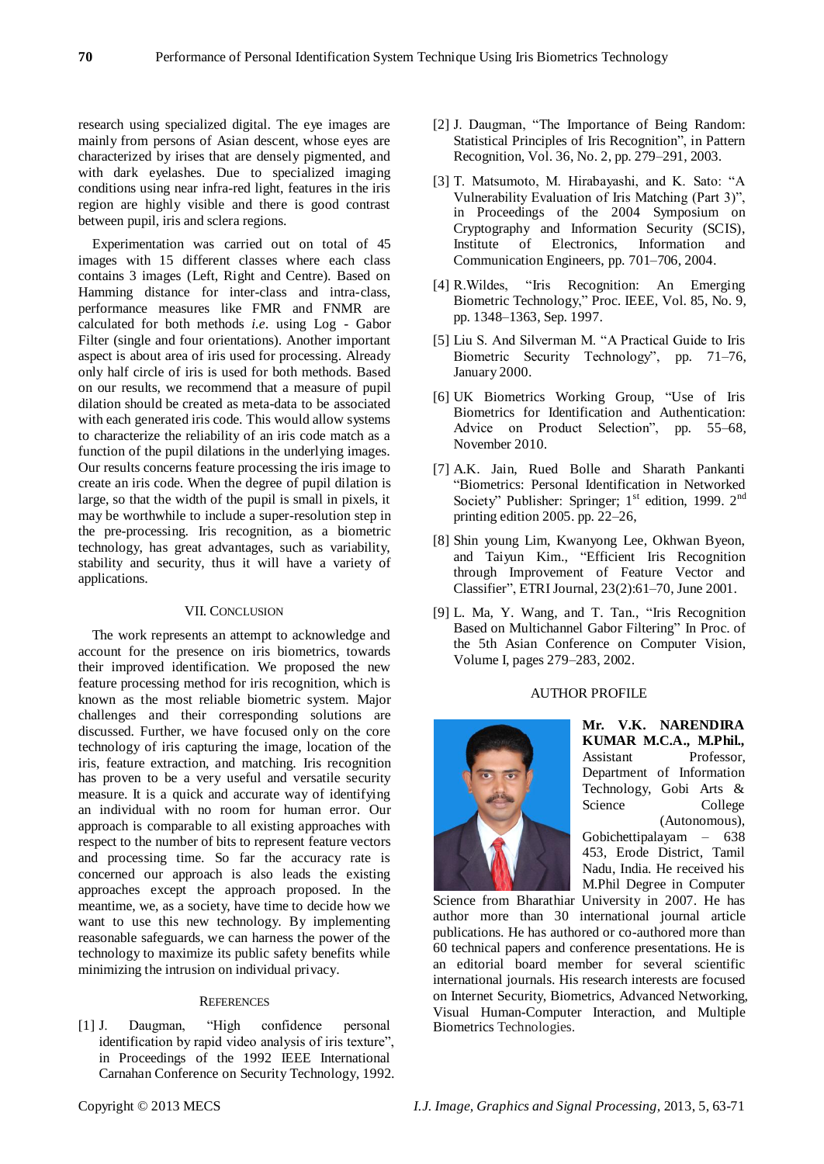research using specialized digital. The eye images are mainly from persons of Asian descent, whose eyes are characterized by irises that are densely pigmented, and with dark eyelashes. Due to specialized imaging conditions using near infra-red light, features in the iris region are highly visible and there is good contrast between pupil, iris and sclera regions.

Experimentation was carried out on total of 45 images with 15 different classes where each class contains 3 images (Left, Right and Centre). Based on Hamming distance for inter-class and intra-class, performance measures like FMR and FNMR are calculated for both methods *i.e.* using Log - Gabor Filter (single and four orientations). Another important aspect is about area of iris used for processing. Already only half circle of iris is used for both methods. Based on our results, we recommend that a measure of pupil dilation should be created as meta-data to be associated with each generated iris code. This would allow systems to characterize the reliability of an iris code match as a function of the pupil dilations in the underlying images. Our results concerns feature processing the iris image to create an iris code. When the degree of pupil dilation is large, so that the width of the pupil is small in pixels, it may be worthwhile to include a super-resolution step in the pre-processing. Iris recognition, as a biometric technology, has great advantages, such as variability, stability and security, thus it will have a variety of applications.

# VII. CONCLUSION

The work represents an attempt to acknowledge and account for the presence on iris biometrics, towards their improved identification. We proposed the new feature processing method for iris recognition, which is known as the most reliable biometric system. Major challenges and their corresponding solutions are discussed. Further, we have focused only on the core technology of iris capturing the image, location of the iris, feature extraction, and matching. Iris recognition has proven to be a very useful and versatile security measure. It is a quick and accurate way of identifying an individual with no room for human error. Our approach is comparable to all existing approaches with respect to the number of bits to represent feature vectors and processing time. So far the accuracy rate is concerned our approach is also leads the existing approaches except the approach proposed. In the meantime, we, as a society, have time to decide how we want to use this new technology. By implementing reasonable safeguards, we can harness the power of the technology to maximize its public safety benefits while minimizing the intrusion on individual privacy.

### **REFERENCES**

[1] J. Daugman, "High confidence personal identification by rapid video analysis of iris texture", in Proceedings of the 1992 IEEE International Carnahan Conference on Security Technology, 1992.

- [2] J. Daugman, "The Importance of Being Random: Statistical Principles of Iris Recognition", in Pattern Recognition, Vol. 36, No. 2, pp. 279–291, 2003.
- [3] T. Matsumoto, M. Hirabayashi, and K. Sato: "A Vulnerability Evaluation of Iris Matching (Part 3)", in Proceedings of the 2004 Symposium on Cryptography and Information Security (SCIS), Institute of Electronics, Information and Communication Engineers, pp. 701–706, 2004.
- [4] R.Wildes, "Iris Recognition: An Emerging Biometric Technology," Proc. IEEE, Vol. 85, No. 9, pp. 1348–1363, Sep. 1997.
- [5] Liu S. And Silverman M. "A Practical Guide to Iris Biometric Security Technology", pp. 71–76, January 2000.
- [6] UK Biometrics Working Group, "Use of Iris Biometrics for Identification and Authentication: Advice on Product Selection", pp. 55–68, November 2010.
- [7] A.K. Jain, Rued Bolle and Sharath Pankanti ―Biometrics: Personal Identification in Networked Society'' Publisher: Springer;  $1<sup>st</sup>$  edition, 1999.  $2<sup>nd</sup>$ printing edition 2005. pp. 22–26,
- [8] Shin young Lim, Kwanyong Lee, Okhwan Byeon, and Taiyun Kim., "Efficient Iris Recognition through Improvement of Feature Vector and Classifier", ETRI Journal, 23(2):61-70, June 2001.
- [9] L. Ma, Y. Wang, and T. Tan., "Iris Recognition Based on Multichannel Gabor Filtering" In Proc. of the 5th Asian Conference on Computer Vision, Volume I, pages 279–283, 2002.

#### AUTHOR PROFILE



**Mr. V.K. NARENDIRA KUMAR M.C.A., M.Phil.,**  Assistant Professor, Department of Information Technology, Gobi Arts & Science College (Autonomous), Gobichettipalayam – 638 453, Erode District, Tamil Nadu, India. He received his M.Phil Degree in Computer

Science from Bharathiar University in 2007. He has author more than 30 international journal article publications. He has authored or co-authored more than 60 technical papers and conference presentations. He is an editorial board member for several scientific international journals. His research interests are focused on Internet Security, Biometrics, Advanced Networking, Visual Human-Computer Interaction, and Multiple Biometrics Technologies.